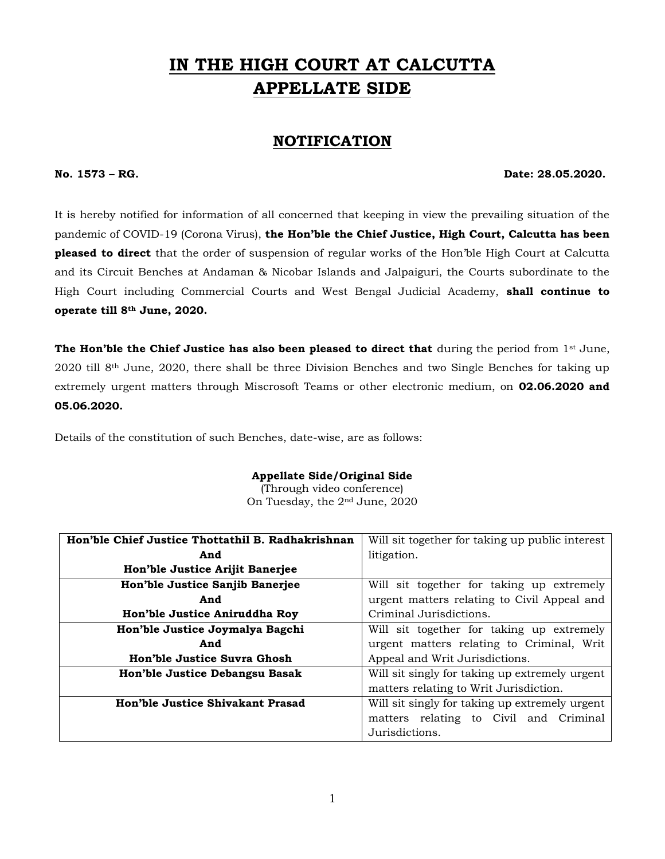# **IN THE HIGH COURT AT CALCUTTA APPELLATE SIDE**

# **NOTIFICATION**

**No. 1573 – RG. Date: 28.05.2020.**

It is hereby notified for information of all concerned that keeping in view the prevailing situation of the pandemic of COVID-19 (Corona Virus), **the Hon'ble the Chief Justice, High Court, Calcutta has been pleased to direct** that the order of suspension of regular works of the Hon'ble High Court at Calcutta and its Circuit Benches at Andaman & Nicobar Islands and Jalpaiguri, the Courts subordinate to the High Court including Commercial Courts and West Bengal Judicial Academy, **shall continue to operate till 8th June, 2020.** 

**The Hon'ble the Chief Justice has also been pleased to direct that** during the period from 1st June, 2020 till 8th June, 2020, there shall be three Division Benches and two Single Benches for taking up extremely urgent matters through Miscrosoft Teams or other electronic medium, on **02.06.2020 and 05.06.2020.**

Details of the constitution of such Benches, date-wise, are as follows:

### **Appellate Side/Original Side**

(Through video conference) On Tuesday, the 2nd June, 2020

| Hon'ble Chief Justice Thottathil B. Radhakrishnan | Will sit together for taking up public interest |
|---------------------------------------------------|-------------------------------------------------|
| And                                               | litigation.                                     |
| Hon'ble Justice Arijit Banerjee                   |                                                 |
| Hon'ble Justice Sanjib Banerjee                   | Will sit together for taking up extremely       |
| And                                               | urgent matters relating to Civil Appeal and     |
| Hon'ble Justice Aniruddha Roy                     | Criminal Jurisdictions.                         |
| Hon'ble Justice Joymalya Bagchi                   | Will sit together for taking up extremely       |
| And                                               | urgent matters relating to Criminal, Writ       |
| Hon'ble Justice Suvra Ghosh                       | Appeal and Writ Jurisdictions.                  |
| Hon'ble Justice Debangsu Basak                    | Will sit singly for taking up extremely urgent  |
|                                                   | matters relating to Writ Jurisdiction.          |
| Hon'ble Justice Shivakant Prasad                  | Will sit singly for taking up extremely urgent  |
|                                                   | matters relating to Civil and Criminal          |
|                                                   | Jurisdictions.                                  |